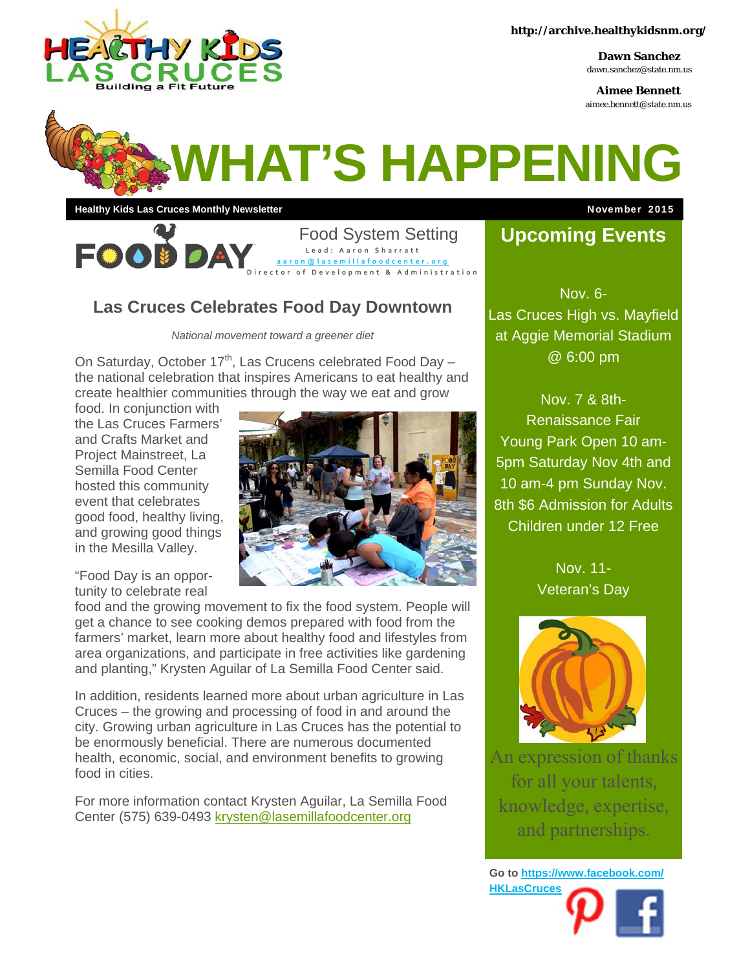

**Dawn Sanchez**  dawn.sanchez@state.nm.us

**Aimee Bennett**  aimee.bennett@state.nm.us

# **WHAT'S HAPPENING**

**Healthy Kids Las Cruces Monthly Newsletter Manual Control of Channel Control Control Control Control Control Control Control Control Control Control Control Control Control Control Control Control Control Control Control** 

Food System Setting 第二章 **Lead: Aaron Sharratt aaron@lasemillafoodcenter.org Director of Development & Administration**

#### **Las Cruces Celebrates Food Day Downtown**

*National movement toward a greener diet* 

On Saturday, October  $17<sup>th</sup>$ , Las Crucens celebrated Food Day – the national celebration that inspires Americans to eat healthy and create healthier communities through the way we eat and grow

food. In conjunction with the Las Cruces Farmers' and Crafts Market and Project Mainstreet, La Semilla Food Center hosted this community event that celebrates good food, healthy living, and growing good things in the Mesilla Valley.

"Food Day is an opportunity to celebrate real



food and the growing movement to fix the food system. People will get a chance to see cooking demos prepared with food from the farmers' market, learn more about healthy food and lifestyles from area organizations, and participate in free activities like gardening and planting," Krysten Aguilar of La Semilla Food Center said.

In addition, residents learned more about urban agriculture in Las Cruces – the growing and processing of food in and around the city. Growing urban agriculture in Las Cruces has the potential to be enormously beneficial. There are numerous documented health, economic, social, and environment benefits to growing food in cities.

For more information contact Krysten Aguilar, La Semilla Food Center (575) 639-0493 krysten@lasemillafoodcenter.org

### **Upcoming Events**

Nov. 6- Las Cruces High vs. Mayfield at Aggie Memorial Stadium @ 6:00 pm

Nov. 7 & 8th-Renaissance Fair Young Park Open 10 am-5pm Saturday Nov 4th and 10 am-4 pm Sunday Nov. 8th \$6 Admission for Adults Children under 12 Free

> Nov. 11- Veteran's Day



An expression of thanks for all your talents, knowledge, expertise, and partnerships.

**Go to https://www.facebook.com/ HKLasCruces**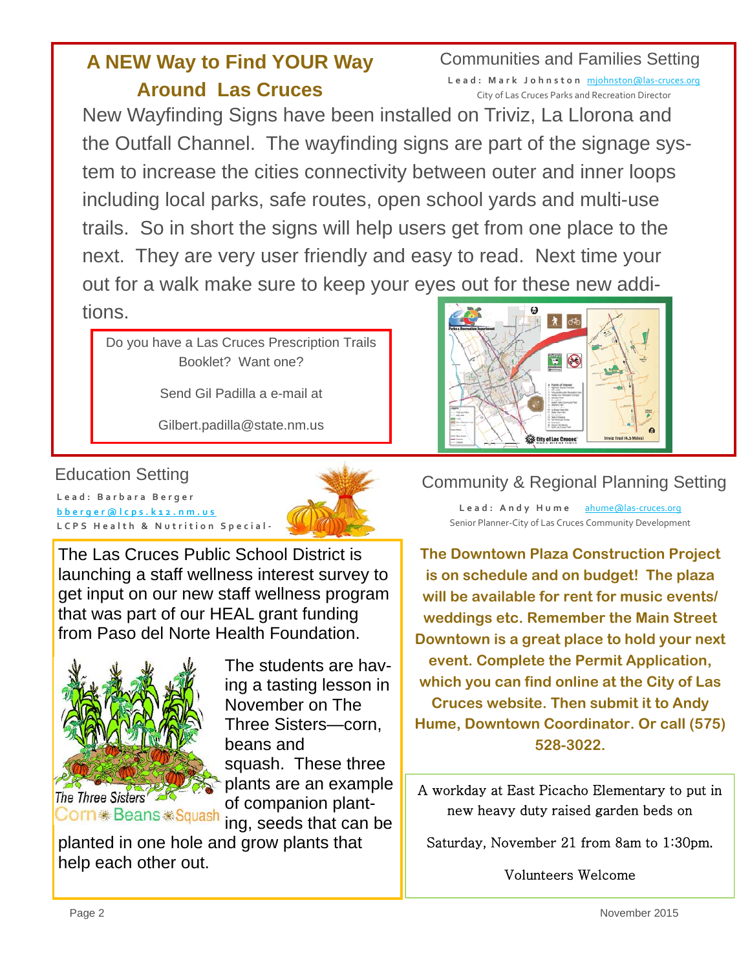## **A NEW Way to Find YOUR Way Around Las Cruces**

## Communities and Families Setting

Lead: Mark Johnston michnston@las-cruces.org City of Las Cruces Parks and Recreation Director

New Wayfinding Signs have been installed on Triviz, La Llorona and the Outfall Channel. The wayfinding signs are part of the signage system to increase the cities connectivity between outer and inner loops including local parks, safe routes, open school yards and multi-use trails. So in short the signs will help users get from one place to the next. They are very user friendly and easy to read. Next time your out for a walk make sure to keep your eyes out for these new additions.

 Do you have a Las Cruces Prescription Trails Booklet? Want one?

Send Gil Padilla a e-mail at

Gilbert.padilla@state.nm.us

#### Education Setting

**Lead: Barbara Berger bberger@lcps.k12.nm.us LCPS Health & Nutrition Special ‐**



The Las Cruces Public School District is launching a staff wellness interest survey to get input on our new staff wellness program that was part of our HEAL grant funding from Paso del Norte Health Foundation.



The Three Sisters Corn \* Beans \* Squash

The students are having a tasting lesson in November on The Three Sisters—corn, beans and squash. These three plants are an example of companion planting, seeds that can be

planted in one hole and grow plants that help each other out.



#### Community & Regional Planning Setting

**Lead: Andy Hume** ahume@las‐cruces.org Senior Planner‐City of Las Cruces Community Development

**The Downtown Plaza Construction Project is on schedule and on budget! The plaza will be available for rent for music events/ weddings etc. Remember the Main Street Downtown is a great place to hold your next event. Complete the Permit Application, which you can find online at the City of Las Cruces website. Then submit it to Andy Hume, Downtown Coordinator. Or call (575) 528-3022.** 

A workday at East Picacho Elementary to put in new heavy duty raised garden beds on

Saturday, November 21 from 8am to 1:30pm.

Volunteers Welcome